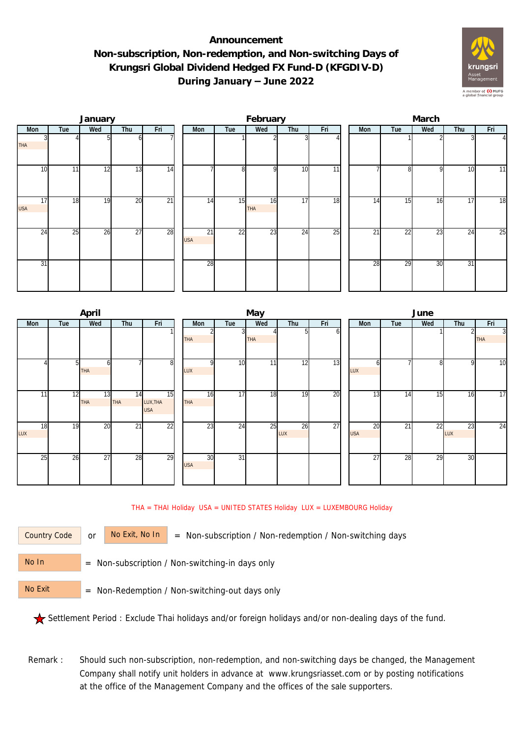## **Announcement Non-subscription, Non-redemption, and Non-switching Days of Krungsri Global Dividend Hedged FX Fund-D (KFGDIV-D) During January – June 2022**



|                  |     | January |                 |                 |                  |     | February         |                 |                 | March |                 |     |     |          |  |  |
|------------------|-----|---------|-----------------|-----------------|------------------|-----|------------------|-----------------|-----------------|-------|-----------------|-----|-----|----------|--|--|
| Mon              | Tue | Wed     | Thu             | Fri             | Mon              | Tue | Wed              | Thu             | Fri             | Mon   | Tue             | Wed | Thu | Fri      |  |  |
| <b>THA</b>       |     |         |                 |                 |                  |     |                  |                 |                 |       |                 |     |     | $\Delta$ |  |  |
| 10               | 11  | 12      | 13              | $\overline{14}$ |                  | 8   | <sup>Q</sup>     | 10              | $\overline{11}$ |       | 81              | 9   | 10  | 11       |  |  |
| 17<br><b>USA</b> | 18  | 19      | 20              | $\overline{21}$ | 14               | 15  | 16<br><b>THA</b> | 17              | 18              | 14    | 15              | 16  | 17  | 18       |  |  |
| 24               | 25  | 26      | $\overline{27}$ | 28              | 21<br><b>USA</b> | 22  | $\overline{23}$  | $2\overline{4}$ | 25              | 21    | $2\overline{2}$ | 23  | 24  | 25       |  |  |
| 31               |     |         |                 |                 | 28               |     |                  |                 |                 | 28    | 29              | 30  | 31  |          |  |  |

|                 |     | April      |                 |                 |            |                 | May             |     |     | June            |     |     |     |                |  |  |
|-----------------|-----|------------|-----------------|-----------------|------------|-----------------|-----------------|-----|-----|-----------------|-----|-----|-----|----------------|--|--|
| Mon             | Tue | Wed        | Thu             | Fri             | Mon        | Tue             | Wed             | Thu | Fri | Mon             | Tue | Wed | Thu | Fri            |  |  |
|                 |     |            |                 |                 |            |                 |                 | n   | οı  |                 |     |     | 2   | $\overline{3}$ |  |  |
|                 |     |            |                 |                 | <b>THA</b> |                 | <b>THA</b>      |     |     |                 |     |     |     | <b>THA</b>     |  |  |
|                 |     |            |                 |                 |            |                 |                 |     |     |                 |     |     |     |                |  |  |
|                 | 51  | ω          |                 | 8 <sup>1</sup>  | $\Omega$   | 10              | 11 <sub>1</sub> | 12  | 13  | h               |     | 8   | 9   | 10             |  |  |
|                 |     | <b>THA</b> |                 |                 | LUX        |                 |                 |     |     | LUX             |     |     |     |                |  |  |
|                 |     |            |                 |                 |            |                 |                 |     |     |                 |     |     |     |                |  |  |
| 11              | 12  | 13         | 14              | 15              | 16         | $\overline{17}$ | 18              | 19  | 20  | 13              | 14  | 15  | 16  | 17             |  |  |
|                 |     | <b>THA</b> | THA             | LUX, THA        | THA        |                 |                 |     |     |                 |     |     |     |                |  |  |
|                 |     |            |                 | <b>USA</b>      |            |                 |                 |     |     |                 |     |     |     |                |  |  |
| 18              | 19  | 20         | $\overline{21}$ | $\overline{22}$ | 23         | 24              | 25              | 26  | 27  | $\overline{20}$ | 21  | 22  | 23  | 24             |  |  |
| LUX             |     |            |                 |                 |            |                 |                 | LUX |     | <b>USA</b>      |     |     | LUX |                |  |  |
|                 |     |            |                 |                 |            |                 |                 |     |     |                 |     |     |     |                |  |  |
| $2\overline{5}$ | 26  | 27         | 28              | 29              | 30         | $\overline{31}$ |                 |     |     | $\overline{27}$ | 28  | 29  | 30  |                |  |  |
|                 |     |            |                 |                 | <b>USA</b> |                 |                 |     |     |                 |     |     |     |                |  |  |
|                 |     |            |                 |                 |            |                 |                 |     |     |                 |     |     |     |                |  |  |
|                 |     |            |                 |                 |            |                 |                 |     |     |                 |     |     |     |                |  |  |

THA = THAI Holiday USA = UNITED STATES Holiday LUX = LUXEMBOURG Holiday

Country Code

or  $\overline{\phantom{a}}$  No Exit, No In  $\overline{\phantom{a}}$  = Non-subscription / Non-redemption / Non-switching days

 = Non-subscription / Non-switching-in days only No In

 = Non-Redemption / Non-switching-out days only No Exit

Settlement Period : Exclude Thai holidays and/or foreign holidays and/or non-dealing days of the fund.

Remark : Should such non-subscription, non-redemption, and non-switching days be changed, the Management Company shall notify unit holders in advance at www.krungsriasset.com or by posting notifications at the office of the Management Company and the offices of the sale supporters.